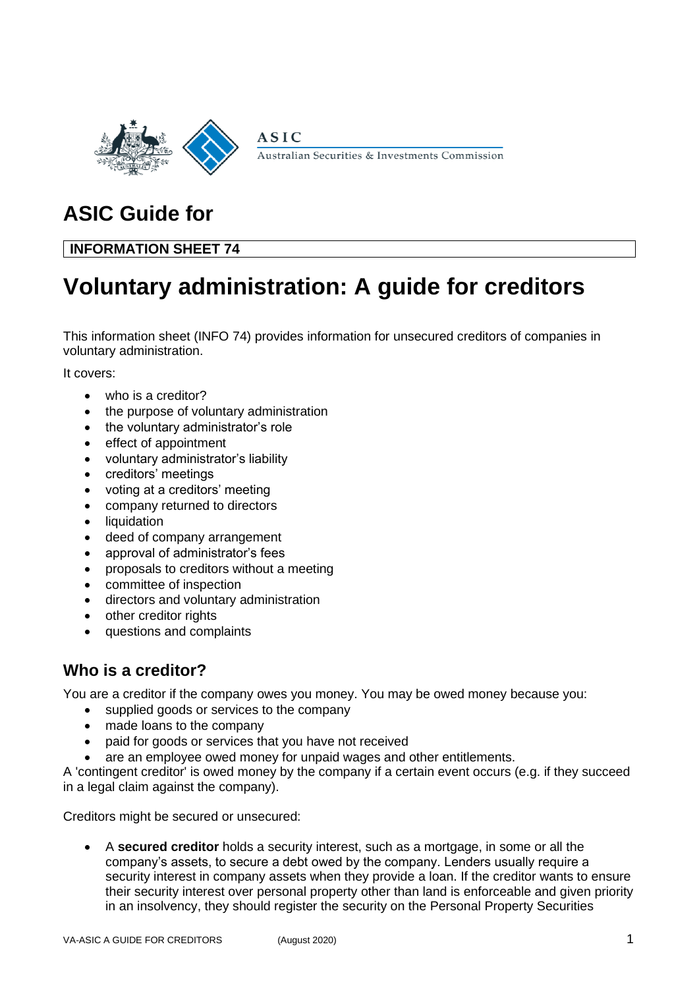

**ASIC** Australian Securities & Investments Commission

# **ASIC Guide for**

# **INFORMATION SHEET 74**

# **Voluntary administration: A guide for creditors**

This information sheet (INFO 74) provides information for unsecured creditors of companies in voluntary administration.

It covers:

- who is a creditor?
- the purpose of voluntary administration
- the voluntary administrator's role
- effect of appointment
- voluntary administrator's liability
- creditors' meetings
- voting at a creditors' meeting
- company returned to directors
- liquidation
- deed of company arrangement
- approval of administrator's fees
- proposals to creditors without a meeting
- committee of inspection
- directors and voluntary administration
- other creditor rights
- questions and complaints

# **Who is a creditor?**

You are a creditor if the company owes you money. You may be owed money because you:

- supplied goods or services to the company
- made loans to the company
- paid for goods or services that you have not received
- are an employee owed money for unpaid wages and other entitlements.

A 'contingent creditor' is owed money by the company if a certain event occurs (e.g. if they succeed in a legal claim against the company).

Creditors might be secured or unsecured:

• A **secured creditor** holds a security interest, such as a mortgage, in some or all the company's assets, to secure a debt owed by the company. Lenders usually require a security interest in company assets when they provide a loan. If the creditor wants to ensure their security interest over personal property other than land is enforceable and given priority in an insolvency, they should register the security on the Personal Property Securities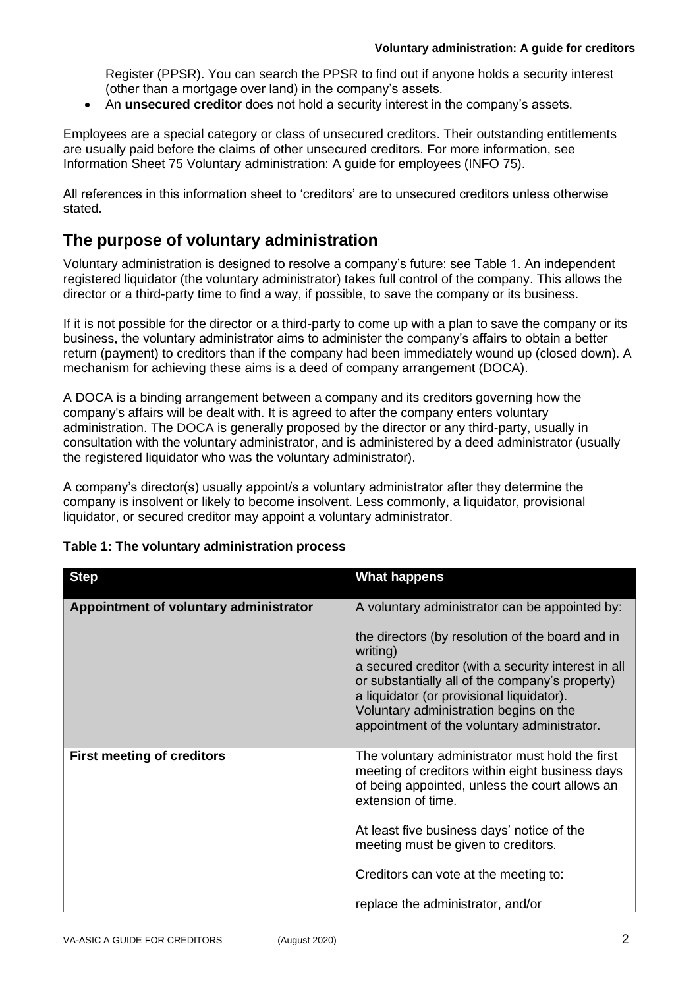Register (PPSR). You can search the PPSR to find out if anyone holds a security interest (other than a mortgage over land) in the company's assets.

• An **unsecured creditor** does not hold a security interest in the company's assets.

Employees are a special category or class of unsecured creditors. Their outstanding entitlements are usually paid before the claims of other unsecured creditors. For more information, see Information Sheet 75 Voluntary administration: A guide for employees (INFO 75).

All references in this information sheet to 'creditors' are to unsecured creditors unless otherwise stated.

### **The purpose of voluntary administration**

Voluntary administration is designed to resolve a company's future: see Table 1. An independent registered liquidator (the voluntary administrator) takes full control of the company. This allows the director or a third-party time to find a way, if possible, to save the company or its business.

If it is not possible for the director or a third-party to come up with a plan to save the company or its business, the voluntary administrator aims to administer the company's affairs to obtain a better return (payment) to creditors than if the company had been immediately wound up (closed down). A mechanism for achieving these aims is a deed of company arrangement (DOCA).

A DOCA is a binding arrangement between a company and its creditors governing how the company's affairs will be dealt with. It is agreed to after the company enters voluntary administration. The DOCA is generally proposed by the director or any third-party, usually in consultation with the voluntary administrator, and is administered by a deed administrator (usually the registered liquidator who was the voluntary administrator).

A company's director(s) usually appoint/s a voluntary administrator after they determine the company is insolvent or likely to become insolvent. Less commonly, a liquidator, provisional liquidator, or secured creditor may appoint a voluntary administrator.

| <b>Step</b>                            | <b>What happens</b>                                                                                                                                                                                                                                                                                          |
|----------------------------------------|--------------------------------------------------------------------------------------------------------------------------------------------------------------------------------------------------------------------------------------------------------------------------------------------------------------|
| Appointment of voluntary administrator | A voluntary administrator can be appointed by:                                                                                                                                                                                                                                                               |
|                                        | the directors (by resolution of the board and in<br>writing)<br>a secured creditor (with a security interest in all<br>or substantially all of the company's property)<br>a liquidator (or provisional liquidator).<br>Voluntary administration begins on the<br>appointment of the voluntary administrator. |
| <b>First meeting of creditors</b>      | The voluntary administrator must hold the first<br>meeting of creditors within eight business days<br>of being appointed, unless the court allows an<br>extension of time.                                                                                                                                   |
|                                        | At least five business days' notice of the<br>meeting must be given to creditors.                                                                                                                                                                                                                            |
|                                        | Creditors can vote at the meeting to:                                                                                                                                                                                                                                                                        |
|                                        | replace the administrator, and/or                                                                                                                                                                                                                                                                            |

#### **Table 1: The voluntary administration process**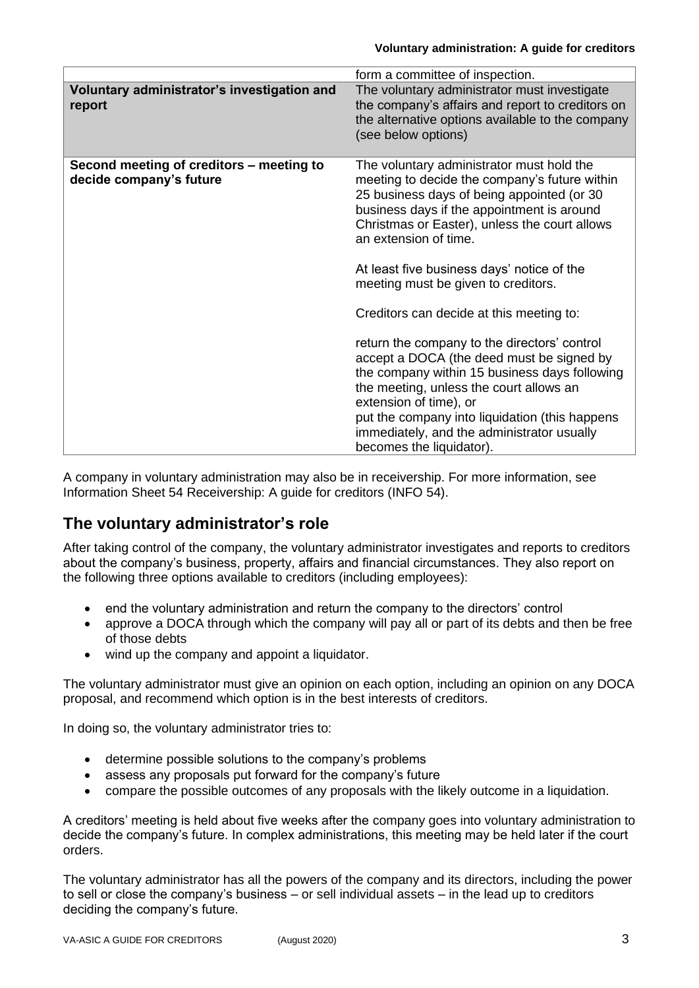|                                                                     | form a committee of inspection.                                                                                                                                                                                                                                                                                                                                                                                                                                                                                                                                                                                                                                                                                                                  |
|---------------------------------------------------------------------|--------------------------------------------------------------------------------------------------------------------------------------------------------------------------------------------------------------------------------------------------------------------------------------------------------------------------------------------------------------------------------------------------------------------------------------------------------------------------------------------------------------------------------------------------------------------------------------------------------------------------------------------------------------------------------------------------------------------------------------------------|
| Voluntary administrator's investigation and<br>report               | The voluntary administrator must investigate<br>the company's affairs and report to creditors on<br>the alternative options available to the company<br>(see below options)                                                                                                                                                                                                                                                                                                                                                                                                                                                                                                                                                                      |
| Second meeting of creditors – meeting to<br>decide company's future | The voluntary administrator must hold the<br>meeting to decide the company's future within<br>25 business days of being appointed (or 30<br>business days if the appointment is around<br>Christmas or Easter), unless the court allows<br>an extension of time.<br>At least five business days' notice of the<br>meeting must be given to creditors.<br>Creditors can decide at this meeting to:<br>return the company to the directors' control<br>accept a DOCA (the deed must be signed by<br>the company within 15 business days following<br>the meeting, unless the court allows an<br>extension of time), or<br>put the company into liquidation (this happens<br>immediately, and the administrator usually<br>becomes the liquidator). |

A company in voluntary administration may also be in receivership. For more information, see Information Sheet 54 Receivership: A guide for creditors (INFO 54).

# **The voluntary administrator's role**

After taking control of the company, the voluntary administrator investigates and reports to creditors about the company's business, property, affairs and financial circumstances. They also report on the following three options available to creditors (including employees):

- end the voluntary administration and return the company to the directors' control
- approve a DOCA through which the company will pay all or part of its debts and then be free of those debts
- wind up the company and appoint a liquidator.

The voluntary administrator must give an opinion on each option, including an opinion on any DOCA proposal, and recommend which option is in the best interests of creditors.

In doing so, the voluntary administrator tries to:

- determine possible solutions to the company's problems
- assess any proposals put forward for the company's future
- compare the possible outcomes of any proposals with the likely outcome in a liquidation.

A creditors' meeting is held about five weeks after the company goes into voluntary administration to decide the company's future. In complex administrations, this meeting may be held later if the court orders.

The voluntary administrator has all the powers of the company and its directors, including the power to sell or close the company's business – or sell individual assets – in the lead up to creditors deciding the company's future.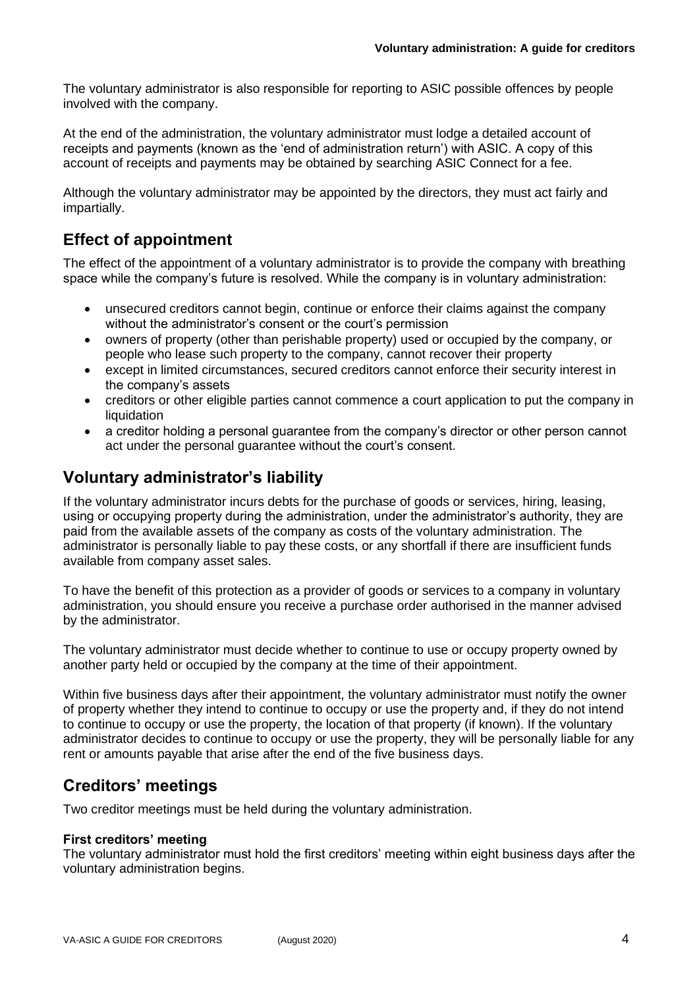The voluntary administrator is also responsible for reporting to ASIC possible offences by people involved with the company.

At the end of the administration, the voluntary administrator must lodge a detailed account of receipts and payments (known as the 'end of administration return') with ASIC. A copy of this account of receipts and payments may be obtained by searching ASIC Connect for a fee.

Although the voluntary administrator may be appointed by the directors, they must act fairly and impartially.

# **Effect of appointment**

The effect of the appointment of a voluntary administrator is to provide the company with breathing space while the company's future is resolved. While the company is in voluntary administration:

- unsecured creditors cannot begin, continue or enforce their claims against the company without the administrator's consent or the court's permission
- owners of property (other than perishable property) used or occupied by the company, or people who lease such property to the company, cannot recover their property
- except in limited circumstances, secured creditors cannot enforce their security interest in the company's assets
- creditors or other eligible parties cannot commence a court application to put the company in liquidation
- a creditor holding a personal guarantee from the company's director or other person cannot act under the personal guarantee without the court's consent.

# **Voluntary administrator's liability**

If the voluntary administrator incurs debts for the purchase of goods or services, hiring, leasing, using or occupying property during the administration, under the administrator's authority, they are paid from the available assets of the company as costs of the voluntary administration. The administrator is personally liable to pay these costs, or any shortfall if there are insufficient funds available from company asset sales.

To have the benefit of this protection as a provider of goods or services to a company in voluntary administration, you should ensure you receive a purchase order authorised in the manner advised by the administrator.

The voluntary administrator must decide whether to continue to use or occupy property owned by another party held or occupied by the company at the time of their appointment.

Within five business days after their appointment, the voluntary administrator must notify the owner of property whether they intend to continue to occupy or use the property and, if they do not intend to continue to occupy or use the property, the location of that property (if known). If the voluntary administrator decides to continue to occupy or use the property, they will be personally liable for any rent or amounts payable that arise after the end of the five business days.

# **Creditors' meetings**

Two creditor meetings must be held during the voluntary administration.

### **First creditors' meeting**

The voluntary administrator must hold the first creditors' meeting within eight business days after the voluntary administration begins.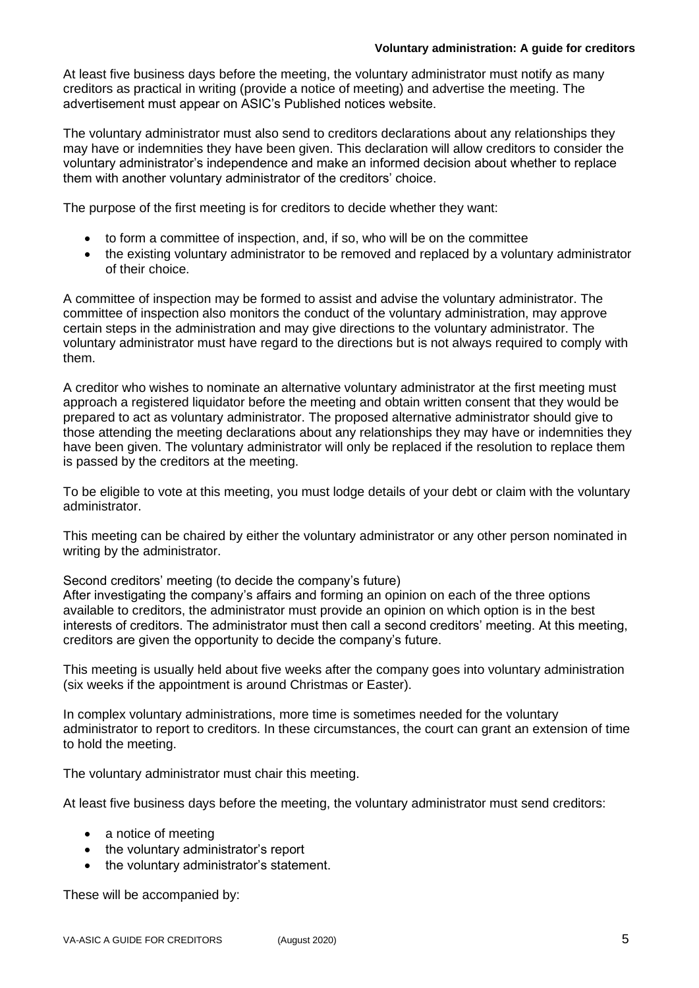#### **Voluntary administration: A guide for creditors**

At least five business days before the meeting, the voluntary administrator must notify as many creditors as practical in writing (provide a notice of meeting) and advertise the meeting. The advertisement must appear on ASIC's Published notices website.

The voluntary administrator must also send to creditors declarations about any relationships they may have or indemnities they have been given. This declaration will allow creditors to consider the voluntary administrator's independence and make an informed decision about whether to replace them with another voluntary administrator of the creditors' choice.

The purpose of the first meeting is for creditors to decide whether they want:

- to form a committee of inspection, and, if so, who will be on the committee
- the existing voluntary administrator to be removed and replaced by a voluntary administrator of their choice.

A committee of inspection may be formed to assist and advise the voluntary administrator. The committee of inspection also monitors the conduct of the voluntary administration, may approve certain steps in the administration and may give directions to the voluntary administrator. The voluntary administrator must have regard to the directions but is not always required to comply with them.

A creditor who wishes to nominate an alternative voluntary administrator at the first meeting must approach a registered liquidator before the meeting and obtain written consent that they would be prepared to act as voluntary administrator. The proposed alternative administrator should give to those attending the meeting declarations about any relationships they may have or indemnities they have been given. The voluntary administrator will only be replaced if the resolution to replace them is passed by the creditors at the meeting.

To be eligible to vote at this meeting, you must lodge details of your debt or claim with the voluntary administrator.

This meeting can be chaired by either the voluntary administrator or any other person nominated in writing by the administrator.

Second creditors' meeting (to decide the company's future)

After investigating the company's affairs and forming an opinion on each of the three options available to creditors, the administrator must provide an opinion on which option is in the best interests of creditors. The administrator must then call a second creditors' meeting. At this meeting, creditors are given the opportunity to decide the company's future.

This meeting is usually held about five weeks after the company goes into voluntary administration (six weeks if the appointment is around Christmas or Easter).

In complex voluntary administrations, more time is sometimes needed for the voluntary administrator to report to creditors. In these circumstances, the court can grant an extension of time to hold the meeting.

The voluntary administrator must chair this meeting.

At least five business days before the meeting, the voluntary administrator must send creditors:

- a notice of meeting
- the voluntary administrator's report
- the voluntary administrator's statement.

These will be accompanied by: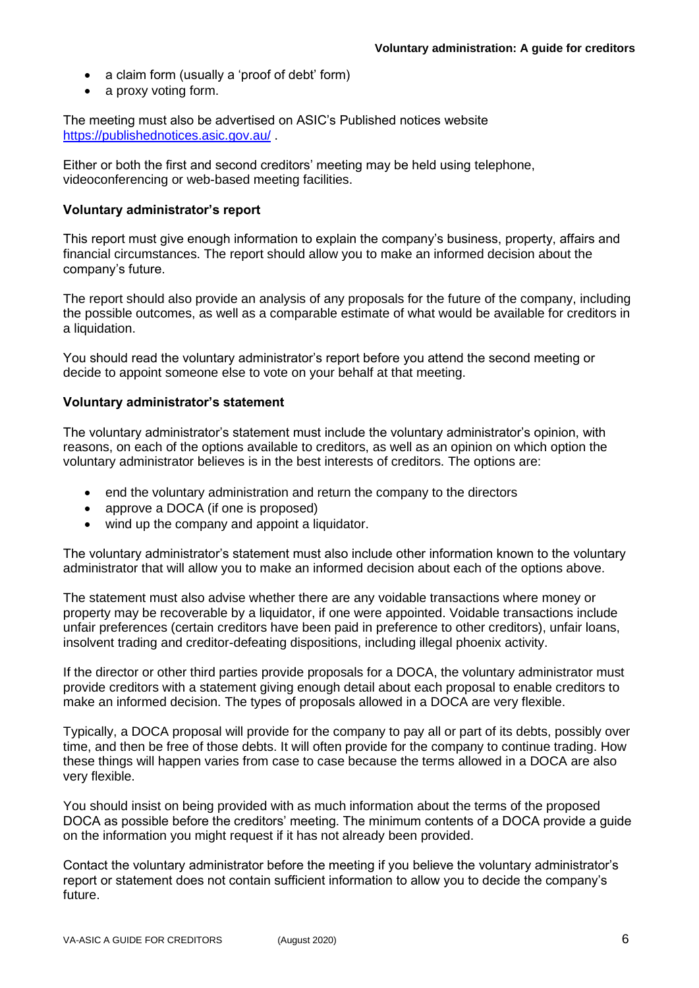- a claim form (usually a 'proof of debt' form)
- a proxy voting form.

The meeting must also be advertised on ASIC's Published notices website <https://publishednotices.asic.gov.au/> .

Either or both the first and second creditors' meeting may be held using telephone, videoconferencing or web-based meeting facilities.

### **Voluntary administrator's report**

This report must give enough information to explain the company's business, property, affairs and financial circumstances. The report should allow you to make an informed decision about the company's future.

The report should also provide an analysis of any proposals for the future of the company, including the possible outcomes, as well as a comparable estimate of what would be available for creditors in a liquidation.

You should read the voluntary administrator's report before you attend the second meeting or decide to appoint someone else to vote on your behalf at that meeting.

### **Voluntary administrator's statement**

The voluntary administrator's statement must include the voluntary administrator's opinion, with reasons, on each of the options available to creditors, as well as an opinion on which option the voluntary administrator believes is in the best interests of creditors. The options are:

- end the voluntary administration and return the company to the directors
- approve a DOCA (if one is proposed)
- wind up the company and appoint a liquidator.

The voluntary administrator's statement must also include other information known to the voluntary administrator that will allow you to make an informed decision about each of the options above.

The statement must also advise whether there are any voidable transactions where money or property may be recoverable by a liquidator, if one were appointed. Voidable transactions include unfair preferences (certain creditors have been paid in preference to other creditors), unfair loans, insolvent trading and creditor-defeating dispositions, including illegal phoenix activity.

If the director or other third parties provide proposals for a DOCA, the voluntary administrator must provide creditors with a statement giving enough detail about each proposal to enable creditors to make an informed decision. The types of proposals allowed in a DOCA are very flexible.

Typically, a DOCA proposal will provide for the company to pay all or part of its debts, possibly over time, and then be free of those debts. It will often provide for the company to continue trading. How these things will happen varies from case to case because the terms allowed in a DOCA are also very flexible.

You should insist on being provided with as much information about the terms of the proposed DOCA as possible before the creditors' meeting. The minimum contents of a DOCA provide a guide on the information you might request if it has not already been provided.

Contact the voluntary administrator before the meeting if you believe the voluntary administrator's report or statement does not contain sufficient information to allow you to decide the company's future.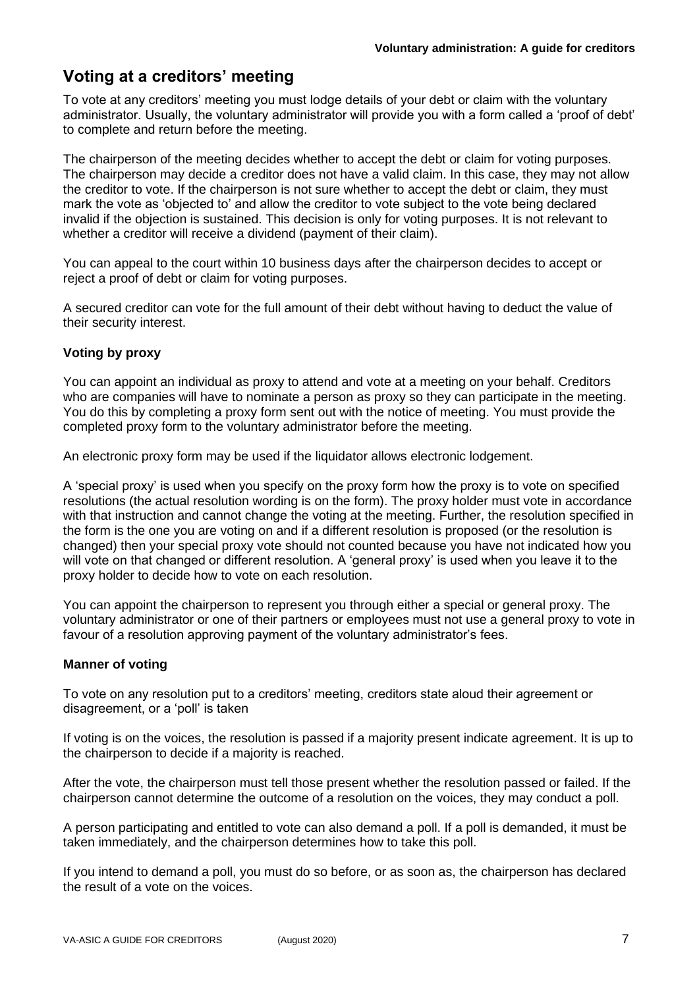# **Voting at a creditors' meeting**

To vote at any creditors' meeting you must lodge details of your debt or claim with the voluntary administrator. Usually, the voluntary administrator will provide you with a form called a 'proof of debt' to complete and return before the meeting.

The chairperson of the meeting decides whether to accept the debt or claim for voting purposes. The chairperson may decide a creditor does not have a valid claim. In this case, they may not allow the creditor to vote. If the chairperson is not sure whether to accept the debt or claim, they must mark the vote as 'objected to' and allow the creditor to vote subject to the vote being declared invalid if the objection is sustained. This decision is only for voting purposes. It is not relevant to whether a creditor will receive a dividend (payment of their claim).

You can appeal to the court within 10 business days after the chairperson decides to accept or reject a proof of debt or claim for voting purposes.

A secured creditor can vote for the full amount of their debt without having to deduct the value of their security interest.

### **Voting by proxy**

You can appoint an individual as proxy to attend and vote at a meeting on your behalf. Creditors who are companies will have to nominate a person as proxy so they can participate in the meeting. You do this by completing a proxy form sent out with the notice of meeting. You must provide the completed proxy form to the voluntary administrator before the meeting.

An electronic proxy form may be used if the liquidator allows electronic lodgement.

A 'special proxy' is used when you specify on the proxy form how the proxy is to vote on specified resolutions (the actual resolution wording is on the form). The proxy holder must vote in accordance with that instruction and cannot change the voting at the meeting. Further, the resolution specified in the form is the one you are voting on and if a different resolution is proposed (or the resolution is changed) then your special proxy vote should not counted because you have not indicated how you will vote on that changed or different resolution. A 'general proxy' is used when you leave it to the proxy holder to decide how to vote on each resolution.

You can appoint the chairperson to represent you through either a special or general proxy. The voluntary administrator or one of their partners or employees must not use a general proxy to vote in favour of a resolution approving payment of the voluntary administrator's fees.

### **Manner of voting**

To vote on any resolution put to a creditors' meeting, creditors state aloud their agreement or disagreement, or a 'poll' is taken

If voting is on the voices, the resolution is passed if a majority present indicate agreement. It is up to the chairperson to decide if a majority is reached.

After the vote, the chairperson must tell those present whether the resolution passed or failed. If the chairperson cannot determine the outcome of a resolution on the voices, they may conduct a poll.

A person participating and entitled to vote can also demand a poll. If a poll is demanded, it must be taken immediately, and the chairperson determines how to take this poll.

If you intend to demand a poll, you must do so before, or as soon as, the chairperson has declared the result of a vote on the voices.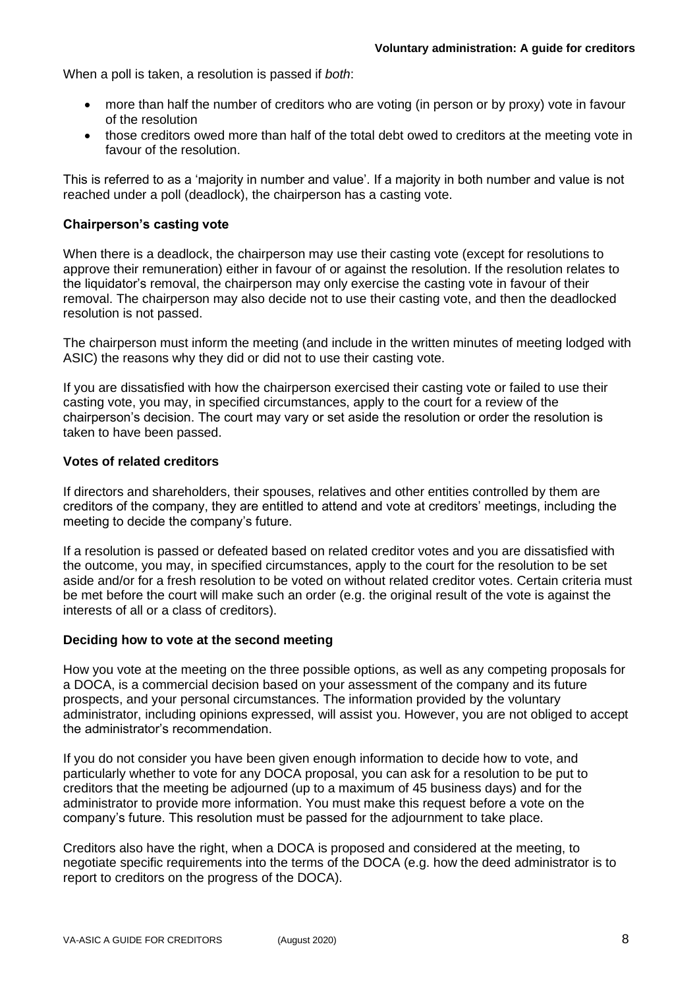When a poll is taken, a resolution is passed if *both*:

- more than half the number of creditors who are voting (in person or by proxy) vote in favour of the resolution
- those creditors owed more than half of the total debt owed to creditors at the meeting vote in favour of the resolution.

This is referred to as a 'majority in number and value'. If a majority in both number and value is not reached under a poll (deadlock), the chairperson has a casting vote.

### **Chairperson's casting vote**

When there is a deadlock, the chairperson may use their casting vote (except for resolutions to approve their remuneration) either in favour of or against the resolution. If the resolution relates to the liquidator's removal, the chairperson may only exercise the casting vote in favour of their removal. The chairperson may also decide not to use their casting vote, and then the deadlocked resolution is not passed.

The chairperson must inform the meeting (and include in the written minutes of meeting lodged with ASIC) the reasons why they did or did not to use their casting vote.

If you are dissatisfied with how the chairperson exercised their casting vote or failed to use their casting vote, you may, in specified circumstances, apply to the court for a review of the chairperson's decision. The court may vary or set aside the resolution or order the resolution is taken to have been passed.

#### **Votes of related creditors**

If directors and shareholders, their spouses, relatives and other entities controlled by them are creditors of the company, they are entitled to attend and vote at creditors' meetings, including the meeting to decide the company's future.

If a resolution is passed or defeated based on related creditor votes and you are dissatisfied with the outcome, you may, in specified circumstances, apply to the court for the resolution to be set aside and/or for a fresh resolution to be voted on without related creditor votes. Certain criteria must be met before the court will make such an order (e.g. the original result of the vote is against the interests of all or a class of creditors).

#### **Deciding how to vote at the second meeting**

How you vote at the meeting on the three possible options, as well as any competing proposals for a DOCA, is a commercial decision based on your assessment of the company and its future prospects, and your personal circumstances. The information provided by the voluntary administrator, including opinions expressed, will assist you. However, you are not obliged to accept the administrator's recommendation.

If you do not consider you have been given enough information to decide how to vote, and particularly whether to vote for any DOCA proposal, you can ask for a resolution to be put to creditors that the meeting be adjourned (up to a maximum of 45 business days) and for the administrator to provide more information. You must make this request before a vote on the company's future. This resolution must be passed for the adjournment to take place.

Creditors also have the right, when a DOCA is proposed and considered at the meeting, to negotiate specific requirements into the terms of the DOCA (e.g. how the deed administrator is to report to creditors on the progress of the DOCA).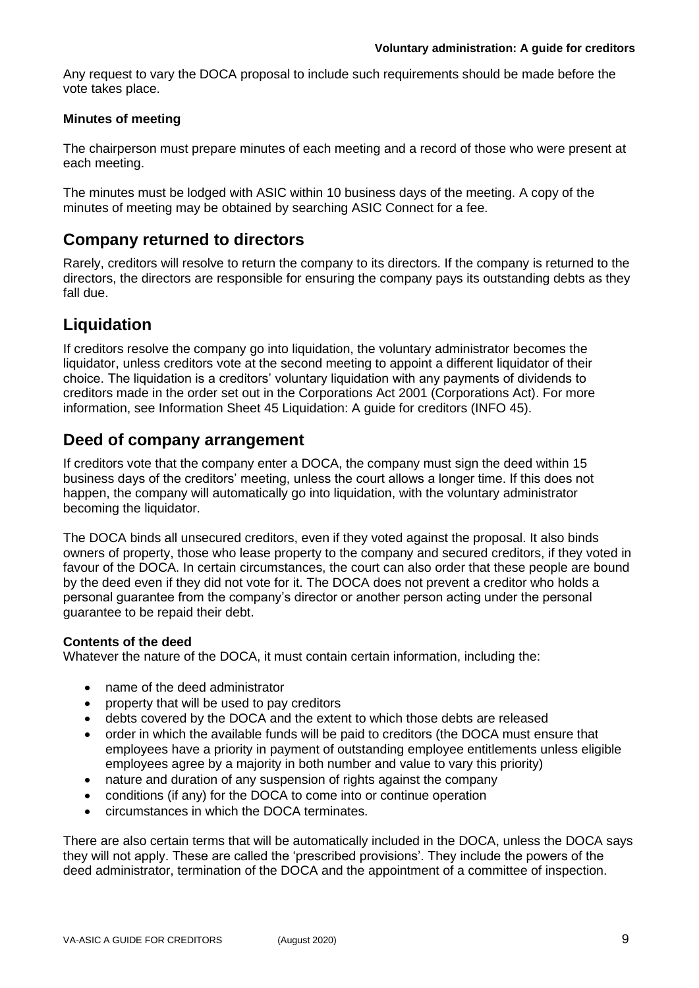Any request to vary the DOCA proposal to include such requirements should be made before the vote takes place.

### **Minutes of meeting**

The chairperson must prepare minutes of each meeting and a record of those who were present at each meeting.

The minutes must be lodged with ASIC within 10 business days of the meeting. A copy of the minutes of meeting may be obtained by searching ASIC Connect for a fee.

### **Company returned to directors**

Rarely, creditors will resolve to return the company to its directors. If the company is returned to the directors, the directors are responsible for ensuring the company pays its outstanding debts as they fall due.

# **Liquidation**

If creditors resolve the company go into liquidation, the voluntary administrator becomes the liquidator, unless creditors vote at the second meeting to appoint a different liquidator of their choice. The liquidation is a creditors' voluntary liquidation with any payments of dividends to creditors made in the order set out in the Corporations Act 2001 (Corporations Act). For more information, see Information Sheet 45 Liquidation: A guide for creditors (INFO 45).

### **Deed of company arrangement**

If creditors vote that the company enter a DOCA, the company must sign the deed within 15 business days of the creditors' meeting, unless the court allows a longer time. If this does not happen, the company will automatically go into liquidation, with the voluntary administrator becoming the liquidator.

The DOCA binds all unsecured creditors, even if they voted against the proposal. It also binds owners of property, those who lease property to the company and secured creditors, if they voted in favour of the DOCA. In certain circumstances, the court can also order that these people are bound by the deed even if they did not vote for it. The DOCA does not prevent a creditor who holds a personal guarantee from the company's director or another person acting under the personal guarantee to be repaid their debt.

### **Contents of the deed**

Whatever the nature of the DOCA, it must contain certain information, including the:

- name of the deed administrator
- property that will be used to pay creditors
- debts covered by the DOCA and the extent to which those debts are released
- order in which the available funds will be paid to creditors (the DOCA must ensure that employees have a priority in payment of outstanding employee entitlements unless eligible employees agree by a majority in both number and value to vary this priority)
- nature and duration of any suspension of rights against the company
- conditions (if any) for the DOCA to come into or continue operation
- circumstances in which the DOCA terminates.

There are also certain terms that will be automatically included in the DOCA, unless the DOCA says they will not apply. These are called the 'prescribed provisions'. They include the powers of the deed administrator, termination of the DOCA and the appointment of a committee of inspection.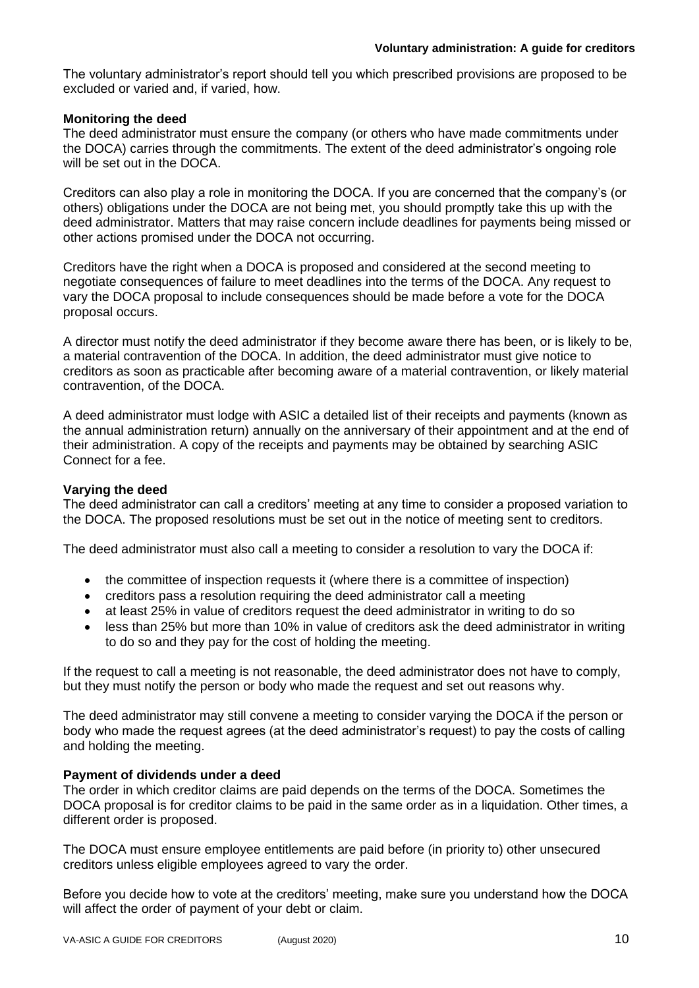The voluntary administrator's report should tell you which prescribed provisions are proposed to be excluded or varied and, if varied, how.

### **Monitoring the deed**

The deed administrator must ensure the company (or others who have made commitments under the DOCA) carries through the commitments. The extent of the deed administrator's ongoing role will be set out in the DOCA.

Creditors can also play a role in monitoring the DOCA. If you are concerned that the company's (or others) obligations under the DOCA are not being met, you should promptly take this up with the deed administrator. Matters that may raise concern include deadlines for payments being missed or other actions promised under the DOCA not occurring.

Creditors have the right when a DOCA is proposed and considered at the second meeting to negotiate consequences of failure to meet deadlines into the terms of the DOCA. Any request to vary the DOCA proposal to include consequences should be made before a vote for the DOCA proposal occurs.

A director must notify the deed administrator if they become aware there has been, or is likely to be, a material contravention of the DOCA. In addition, the deed administrator must give notice to creditors as soon as practicable after becoming aware of a material contravention, or likely material contravention, of the DOCA.

A deed administrator must lodge with ASIC a detailed list of their receipts and payments (known as the annual administration return) annually on the anniversary of their appointment and at the end of their administration. A copy of the receipts and payments may be obtained by searching ASIC Connect for a fee.

### **Varying the deed**

The deed administrator can call a creditors' meeting at any time to consider a proposed variation to the DOCA. The proposed resolutions must be set out in the notice of meeting sent to creditors.

The deed administrator must also call a meeting to consider a resolution to vary the DOCA if:

- the committee of inspection requests it (where there is a committee of inspection)
- creditors pass a resolution requiring the deed administrator call a meeting
- at least 25% in value of creditors request the deed administrator in writing to do so
- less than 25% but more than 10% in value of creditors ask the deed administrator in writing to do so and they pay for the cost of holding the meeting.

If the request to call a meeting is not reasonable, the deed administrator does not have to comply, but they must notify the person or body who made the request and set out reasons why.

The deed administrator may still convene a meeting to consider varying the DOCA if the person or body who made the request agrees (at the deed administrator's request) to pay the costs of calling and holding the meeting.

#### **Payment of dividends under a deed**

The order in which creditor claims are paid depends on the terms of the DOCA. Sometimes the DOCA proposal is for creditor claims to be paid in the same order as in a liquidation. Other times, a different order is proposed.

The DOCA must ensure employee entitlements are paid before (in priority to) other unsecured creditors unless eligible employees agreed to vary the order.

Before you decide how to vote at the creditors' meeting, make sure you understand how the DOCA will affect the order of payment of your debt or claim.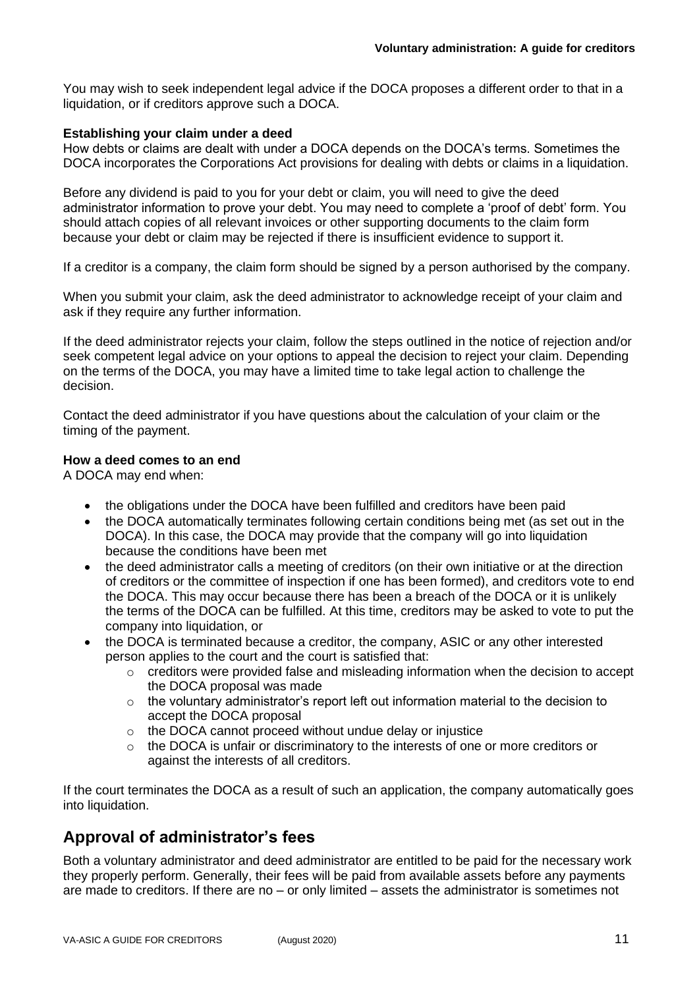You may wish to seek independent legal advice if the DOCA proposes a different order to that in a liquidation, or if creditors approve such a DOCA.

#### **Establishing your claim under a deed**

How debts or claims are dealt with under a DOCA depends on the DOCA's terms. Sometimes the DOCA incorporates the Corporations Act provisions for dealing with debts or claims in a liquidation.

Before any dividend is paid to you for your debt or claim, you will need to give the deed administrator information to prove your debt. You may need to complete a 'proof of debt' form. You should attach copies of all relevant invoices or other supporting documents to the claim form because your debt or claim may be rejected if there is insufficient evidence to support it.

If a creditor is a company, the claim form should be signed by a person authorised by the company.

When you submit your claim, ask the deed administrator to acknowledge receipt of your claim and ask if they require any further information.

If the deed administrator rejects your claim, follow the steps outlined in the notice of rejection and/or seek competent legal advice on your options to appeal the decision to reject your claim. Depending on the terms of the DOCA, you may have a limited time to take legal action to challenge the decision.

Contact the deed administrator if you have questions about the calculation of your claim or the timing of the payment.

#### **How a deed comes to an end**

A DOCA may end when:

- the obligations under the DOCA have been fulfilled and creditors have been paid
- the DOCA automatically terminates following certain conditions being met (as set out in the DOCA). In this case, the DOCA may provide that the company will go into liquidation because the conditions have been met
- the deed administrator calls a meeting of creditors (on their own initiative or at the direction of creditors or the committee of inspection if one has been formed), and creditors vote to end the DOCA. This may occur because there has been a breach of the DOCA or it is unlikely the terms of the DOCA can be fulfilled. At this time, creditors may be asked to vote to put the company into liquidation, or
- the DOCA is terminated because a creditor, the company, ASIC or any other interested person applies to the court and the court is satisfied that:
	- $\circ$  creditors were provided false and misleading information when the decision to accept the DOCA proposal was made
	- $\circ$  the voluntary administrator's report left out information material to the decision to accept the DOCA proposal
	- o the DOCA cannot proceed without undue delay or injustice
	- $\circ$  the DOCA is unfair or discriminatory to the interests of one or more creditors or against the interests of all creditors.

If the court terminates the DOCA as a result of such an application, the company automatically goes into liquidation.

### **Approval of administrator's fees**

Both a voluntary administrator and deed administrator are entitled to be paid for the necessary work they properly perform. Generally, their fees will be paid from available assets before any payments are made to creditors. If there are no – or only limited – assets the administrator is sometimes not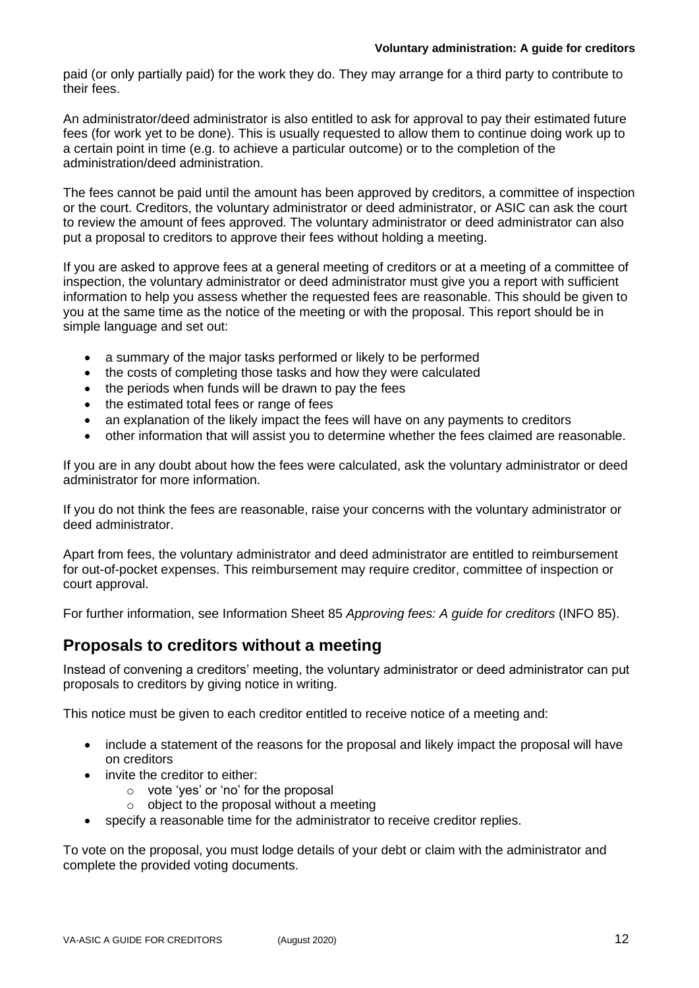#### **Voluntary administration: A guide for creditors**

paid (or only partially paid) for the work they do. They may arrange for a third party to contribute to their fees.

An administrator/deed administrator is also entitled to ask for approval to pay their estimated future fees (for work yet to be done). This is usually requested to allow them to continue doing work up to a certain point in time (e.g. to achieve a particular outcome) or to the completion of the administration/deed administration.

The fees cannot be paid until the amount has been approved by creditors, a committee of inspection or the court. Creditors, the voluntary administrator or deed administrator, or ASIC can ask the court to review the amount of fees approved. The voluntary administrator or deed administrator can also put a proposal to creditors to approve their fees without holding a meeting.

If you are asked to approve fees at a general meeting of creditors or at a meeting of a committee of inspection, the voluntary administrator or deed administrator must give you a report with sufficient information to help you assess whether the requested fees are reasonable. This should be given to you at the same time as the notice of the meeting or with the proposal. This report should be in simple language and set out:

- a summary of the major tasks performed or likely to be performed
- the costs of completing those tasks and how they were calculated
- the periods when funds will be drawn to pay the fees
- the estimated total fees or range of fees
- an explanation of the likely impact the fees will have on any payments to creditors
- other information that will assist you to determine whether the fees claimed are reasonable.

If you are in any doubt about how the fees were calculated, ask the voluntary administrator or deed administrator for more information.

If you do not think the fees are reasonable, raise your concerns with the voluntary administrator or deed administrator.

Apart from fees, the voluntary administrator and deed administrator are entitled to reimbursement for out-of-pocket expenses. This reimbursement may require creditor, committee of inspection or court approval.

For further information, see Information Sheet 85 *Approving fees: A guide for creditors* (INFO 85).

### **Proposals to creditors without a meeting**

Instead of convening a creditors' meeting, the voluntary administrator or deed administrator can put proposals to creditors by giving notice in writing.

This notice must be given to each creditor entitled to receive notice of a meeting and:

- include a statement of the reasons for the proposal and likely impact the proposal will have on creditors
- invite the creditor to either:
	- o vote 'yes' or 'no' for the proposal
	- $\circ$  object to the proposal without a meeting
- specify a reasonable time for the administrator to receive creditor replies.

To vote on the proposal, you must lodge details of your debt or claim with the administrator and complete the provided voting documents.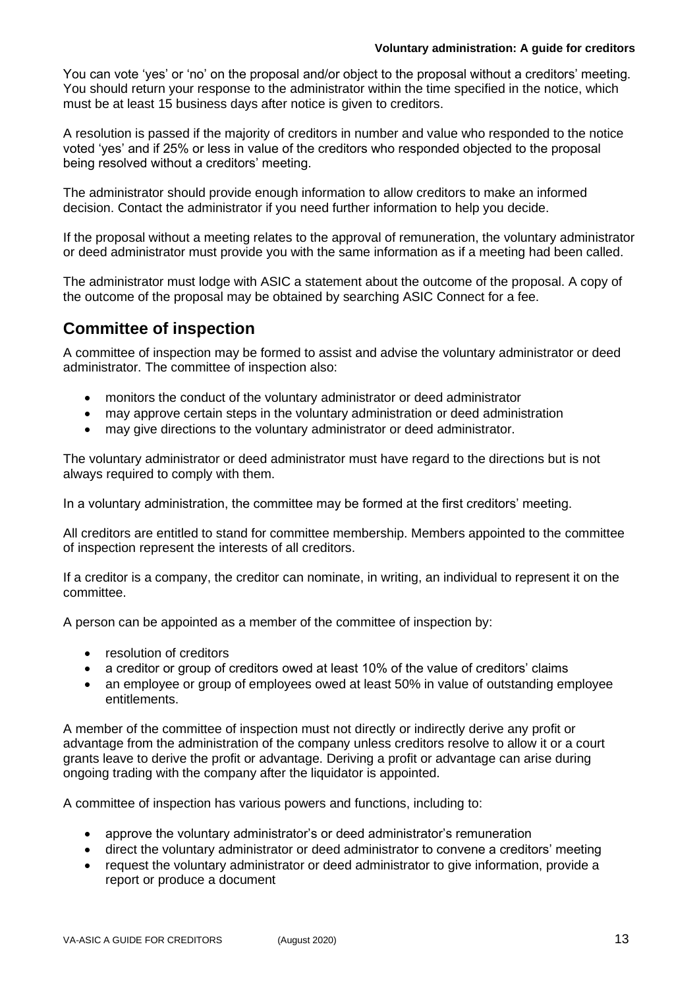#### **Voluntary administration: A guide for creditors**

You can vote 'yes' or 'no' on the proposal and/or object to the proposal without a creditors' meeting. You should return your response to the administrator within the time specified in the notice, which must be at least 15 business days after notice is given to creditors.

A resolution is passed if the majority of creditors in number and value who responded to the notice voted 'yes' and if 25% or less in value of the creditors who responded objected to the proposal being resolved without a creditors' meeting.

The administrator should provide enough information to allow creditors to make an informed decision. Contact the administrator if you need further information to help you decide.

If the proposal without a meeting relates to the approval of remuneration, the voluntary administrator or deed administrator must provide you with the same information as if a meeting had been called.

The administrator must lodge with ASIC a statement about the outcome of the proposal. A copy of the outcome of the proposal may be obtained by searching ASIC Connect for a fee.

### **Committee of inspection**

A committee of inspection may be formed to assist and advise the voluntary administrator or deed administrator. The committee of inspection also:

- monitors the conduct of the voluntary administrator or deed administrator
- may approve certain steps in the voluntary administration or deed administration
- may give directions to the voluntary administrator or deed administrator.

The voluntary administrator or deed administrator must have regard to the directions but is not always required to comply with them.

In a voluntary administration, the committee may be formed at the first creditors' meeting.

All creditors are entitled to stand for committee membership. Members appointed to the committee of inspection represent the interests of all creditors.

If a creditor is a company, the creditor can nominate, in writing, an individual to represent it on the committee.

A person can be appointed as a member of the committee of inspection by:

- resolution of creditors
- a creditor or group of creditors owed at least 10% of the value of creditors' claims
- an employee or group of employees owed at least 50% in value of outstanding employee entitlements.

A member of the committee of inspection must not directly or indirectly derive any profit or advantage from the administration of the company unless creditors resolve to allow it or a court grants leave to derive the profit or advantage. Deriving a profit or advantage can arise during ongoing trading with the company after the liquidator is appointed.

A committee of inspection has various powers and functions, including to:

- approve the voluntary administrator's or deed administrator's remuneration
- direct the voluntary administrator or deed administrator to convene a creditors' meeting
- request the voluntary administrator or deed administrator to give information, provide a report or produce a document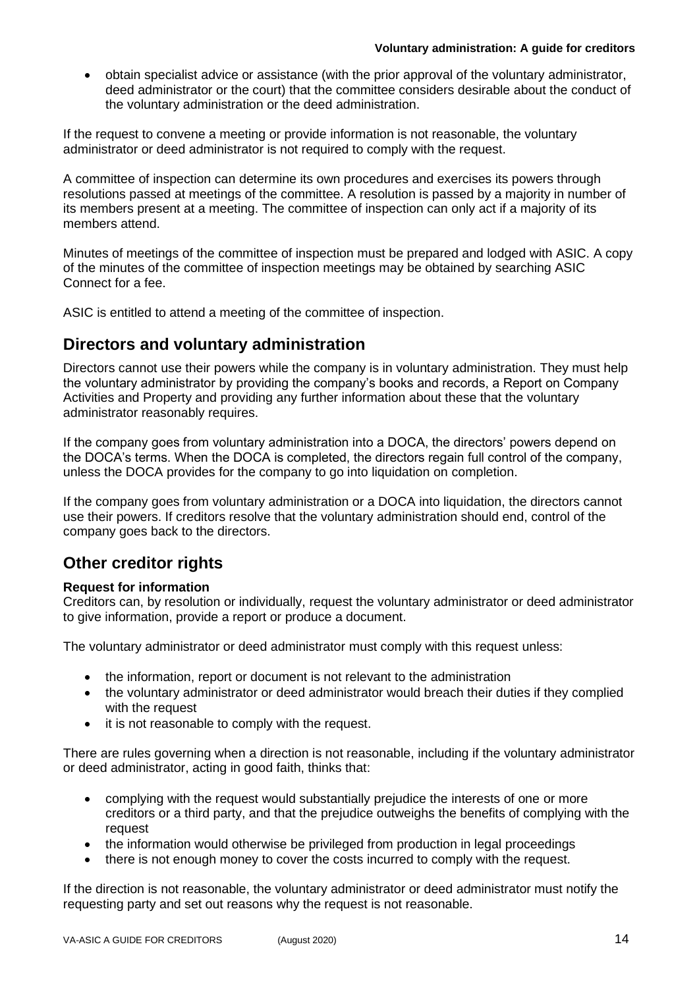• obtain specialist advice or assistance (with the prior approval of the voluntary administrator, deed administrator or the court) that the committee considers desirable about the conduct of the voluntary administration or the deed administration.

If the request to convene a meeting or provide information is not reasonable, the voluntary administrator or deed administrator is not required to comply with the request.

A committee of inspection can determine its own procedures and exercises its powers through resolutions passed at meetings of the committee. A resolution is passed by a majority in number of its members present at a meeting. The committee of inspection can only act if a majority of its members attend.

Minutes of meetings of the committee of inspection must be prepared and lodged with ASIC. A copy of the minutes of the committee of inspection meetings may be obtained by searching ASIC Connect for a fee.

ASIC is entitled to attend a meeting of the committee of inspection.

### **Directors and voluntary administration**

Directors cannot use their powers while the company is in voluntary administration. They must help the voluntary administrator by providing the company's books and records, a Report on Company Activities and Property and providing any further information about these that the voluntary administrator reasonably requires.

If the company goes from voluntary administration into a DOCA, the directors' powers depend on the DOCA's terms. When the DOCA is completed, the directors regain full control of the company, unless the DOCA provides for the company to go into liquidation on completion.

If the company goes from voluntary administration or a DOCA into liquidation, the directors cannot use their powers. If creditors resolve that the voluntary administration should end, control of the company goes back to the directors.

# **Other creditor rights**

### **Request for information**

Creditors can, by resolution or individually, request the voluntary administrator or deed administrator to give information, provide a report or produce a document.

The voluntary administrator or deed administrator must comply with this request unless:

- the information, report or document is not relevant to the administration
- the voluntary administrator or deed administrator would breach their duties if they complied with the request
- it is not reasonable to comply with the request.

There are rules governing when a direction is not reasonable, including if the voluntary administrator or deed administrator, acting in good faith, thinks that:

- complying with the request would substantially prejudice the interests of one or more creditors or a third party, and that the prejudice outweighs the benefits of complying with the request
- the information would otherwise be privileged from production in legal proceedings
- there is not enough money to cover the costs incurred to comply with the request.

If the direction is not reasonable, the voluntary administrator or deed administrator must notify the requesting party and set out reasons why the request is not reasonable.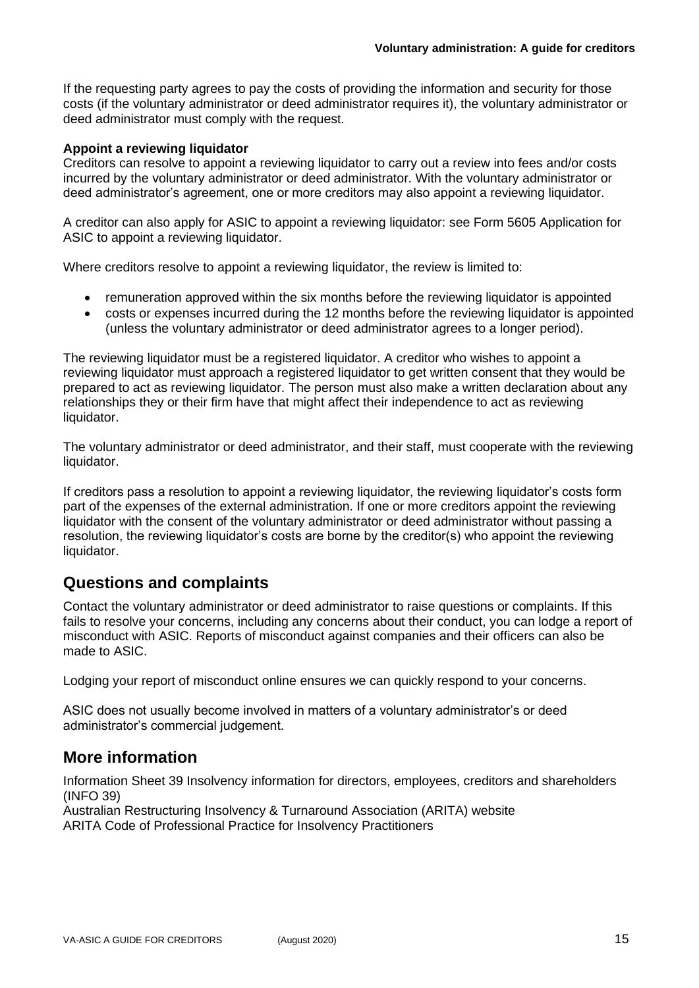If the requesting party agrees to pay the costs of providing the information and security for those costs (if the voluntary administrator or deed administrator requires it), the voluntary administrator or deed administrator must comply with the request.

### **Appoint a reviewing liquidator**

Creditors can resolve to appoint a reviewing liquidator to carry out a review into fees and/or costs incurred by the voluntary administrator or deed administrator. With the voluntary administrator or deed administrator's agreement, one or more creditors may also appoint a reviewing liquidator.

A creditor can also apply for ASIC to appoint a reviewing liquidator: see Form 5605 Application for ASIC to appoint a reviewing liquidator.

Where creditors resolve to appoint a reviewing liquidator, the review is limited to:

- remuneration approved within the six months before the reviewing liquidator is appointed
- costs or expenses incurred during the 12 months before the reviewing liquidator is appointed (unless the voluntary administrator or deed administrator agrees to a longer period).

The reviewing liquidator must be a registered liquidator. A creditor who wishes to appoint a reviewing liquidator must approach a registered liquidator to get written consent that they would be prepared to act as reviewing liquidator. The person must also make a written declaration about any relationships they or their firm have that might affect their independence to act as reviewing liquidator.

The voluntary administrator or deed administrator, and their staff, must cooperate with the reviewing liquidator.

If creditors pass a resolution to appoint a reviewing liquidator, the reviewing liquidator's costs form part of the expenses of the external administration. If one or more creditors appoint the reviewing liquidator with the consent of the voluntary administrator or deed administrator without passing a resolution, the reviewing liquidator's costs are borne by the creditor(s) who appoint the reviewing liquidator.

### **Questions and complaints**

Contact the voluntary administrator or deed administrator to raise questions or complaints. If this fails to resolve your concerns, including any concerns about their conduct, you can lodge a report of misconduct with ASIC. Reports of misconduct against companies and their officers can also be made to ASIC.

Lodging your report of misconduct online ensures we can quickly respond to your concerns.

ASIC does not usually become involved in matters of a voluntary administrator's or deed administrator's commercial judgement.

### **More information**

Information Sheet 39 Insolvency information for directors, employees, creditors and shareholders (INFO 39)

Australian Restructuring Insolvency & Turnaround Association (ARITA) website ARITA Code of Professional Practice for Insolvency Practitioners